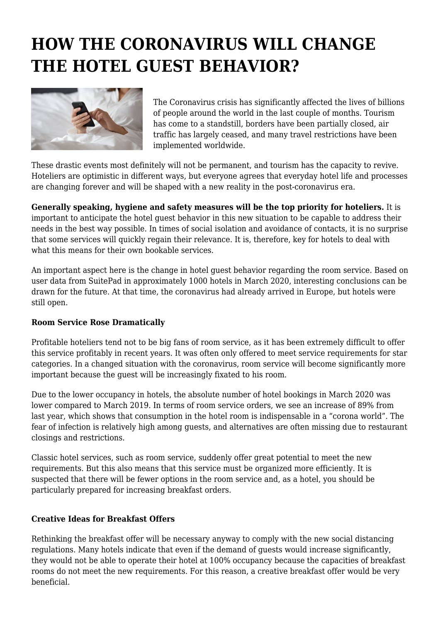## **HOW THE CORONAVIRUS WILL CHANGE THE HOTEL GUEST BEHAVIOR?**



The Coronavirus crisis has significantly affected the lives of billions of people around the world in the last couple of months. Tourism has come to a standstill, borders have been partially closed, air traffic has largely ceased, and many travel restrictions have been implemented worldwide.

These drastic events most definitely will not be permanent, and tourism has the capacity to revive. Hoteliers are optimistic in different ways, but everyone agrees that everyday hotel life and processes are changing forever and will be shaped with a new reality in the post-coronavirus era.

**Generally speaking, hygiene and safety measures will be the top priority for hoteliers.** It is important to anticipate the hotel guest behavior in this new situation to be capable to address their needs in the best way possible. In times of social isolation and avoidance of contacts, it is no surprise that some services will quickly regain their relevance. It is, therefore, key for hotels to deal with what this means for their own bookable services.

An important aspect here is the change in hotel guest behavior regarding the room service. Based on user data from SuitePad in approximately 1000 hotels in March 2020, interesting conclusions can be drawn for the future. At that time, the coronavirus had already arrived in Europe, but hotels were still open.

## **Room Service Rose Dramatically**

Profitable hoteliers tend not to be big fans of room service, as it has been extremely difficult to offer this service profitably in recent years. It was often only offered to meet service requirements for star categories. In a changed situation with the coronavirus, room service will become significantly more important because the guest will be increasingly fixated to his room.

Due to the lower occupancy in hotels, the absolute number of hotel bookings in March 2020 was lower compared to March 2019. In terms of room service orders, we see an increase of 89% from last year, which shows that consumption in the hotel room is indispensable in a "corona world". The fear of infection is relatively high among guests, and alternatives are often missing due to restaurant closings and restrictions.

Classic hotel services, such as room service, suddenly offer great potential to meet the new requirements. But this also means that this service must be organized more efficiently. It is suspected that there will be fewer options in the room service and, as a hotel, you should be particularly prepared for increasing breakfast orders.

## **Creative Ideas for Breakfast Offers**

Rethinking the breakfast offer will be necessary anyway to comply with the new social distancing regulations. Many hotels indicate that even if the demand of guests would increase significantly, they would not be able to operate their hotel at 100% occupancy because the capacities of breakfast rooms do not meet the new requirements. For this reason, a creative breakfast offer would be very beneficial.